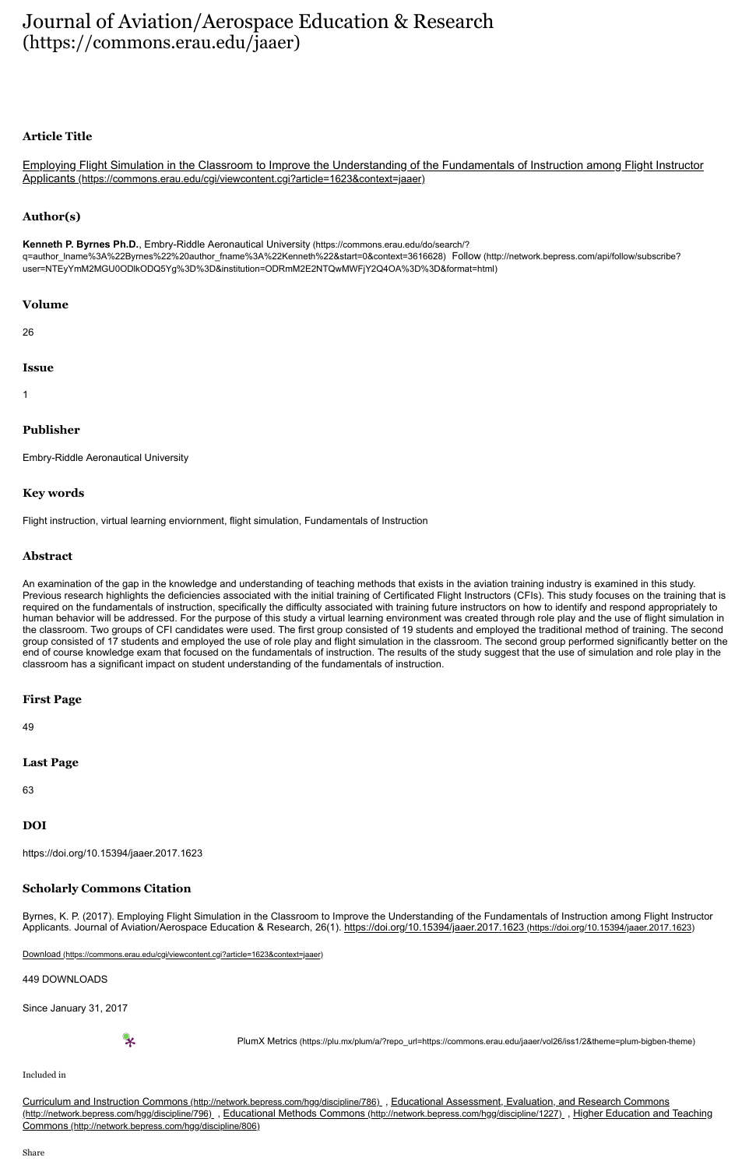# [Journal of Aviation/Aerospace Education & Research](https://commons.erau.edu/jaaer) (https://commons.erau.edu/jaaer)

# **Article Title**

[Employing Flight Simulation in the Classroom to Improve the Understanding of the Fundamentals of Instruction among Flight Instructor](https://commons.erau.edu/cgi/viewcontent.cgi?article=1623&context=jaaer) Applicants (https://commons.erau.edu/cgi/viewcontent.cgi?article=1623&context=jaaer)

# **Author(s)**

Kenneth P. Byrnes Ph.D., Embry-Riddle Aeronautical University (https://commons.erau.edu/do/search/? [q=author\\_lname%3A%22Byrnes%22%20author\\_fname%3A%22Kenneth%22&start=0&context=3616628\)](https://commons.erau.edu/do/search/?q=author_lname%3A%22Byrnes%22%20author_fname%3A%22Kenneth%22&start=0&context=3616628) Follow (http://network.bepress.com/api/follow/subscribe? [user=NTEyYmM2MGU0ODlkODQ5Yg%3D%3D&institution=ODRmM2E2NTQwMWFjY2Q4OA%3D%3D&format=html\)](http://network.bepress.com/api/follow/subscribe?user=NTEyYmM2MGU0ODlkODQ5Yg%3D%3D&institution=ODRmM2E2NTQwMWFjY2Q4OA%3D%3D&format=html)

#### **Volume**

26

#### **Issue**

1

# **Publisher**

Embry-Riddle Aeronautical University

# **Key words**

Flight instruction, virtual learning enviornment, flight simulation, Fundamentals of Instruction

#### **Abstract**

An examination of the gap in the knowledge and understanding of teaching methods that exists in the aviation training industry is examined in this study. Previous research highlights the deficiencies associated with the initial training of Certificated Flight Instructors (CFIs). This study focuses on the training that is required on the fundamentals of instruction, specifically the difficulty associated with training future instructors on how to identify and respond appropriately to human behavior will be addressed. For the purpose of this study a virtual learning environment was created through role play and the use of flight simulation in the classroom. Two groups of CFI candidates were used. The first group consisted of 19 students and employed the traditional method of training. The second group consisted of 17 students and employed the use of role play and flight simulation in the classroom. The second group performed significantly better on the end of course knowledge exam that focused on the fundamentals of instruction. The results of the study suggest that the use of simulation and role play in the classroom has a significant impact on student understanding of the fundamentals of instruction.

# **First Page**

49

# **Last Page**

63

# **DOI**

https://doi.org/10.15394/jaaer.2017.1623

# **Scholarly Commons Citation**

Byrnes, K. P. (2017). Employing Flight Simulation in the Classroom to Improve the Understanding of the Fundamentals of Instruction among Flight Instructor Applicants. Journal of Aviation/Aerospace Education & Research, 26(1). <https://doi.org/10.15394/jaaer.2017.1623> (https://doi.org/10.15394/jaaer.2017.1623)

Download [\(https://commons.erau.edu/cgi/viewcontent.cgi?article=1623&context=jaaer\)](https://commons.erau.edu/cgi/viewcontent.cgi?article=1623&context=jaaer)

449 DOWNLOADS

Since January 31, 2017

PlumX Metrics (https://plu.mx/plum/a/?repo\_url=https://commons.erau.edu/jaaer/vol26/iss1/2&theme=plum-bigben-theme)

#### Included in

Curriculum and Instruction Commons [\(http://network.bepress.com/hgg/discipline/786\)](http://network.bepress.com/hgg/discipline/786) [, Educational Assessment, Evaluation, and Research Commons](http://network.bepress.com/hgg/discipline/796) (http://network.bepress.com/hgg/discipline/796) , Educational Methods Commons [\(http://network.bepress.com/hgg/discipline/1227\)](http://network.bepress.com/hgg/discipline/1227) , Higher Education and Teaching Commons (http://network.bepress.com/hgg/discipline/806)